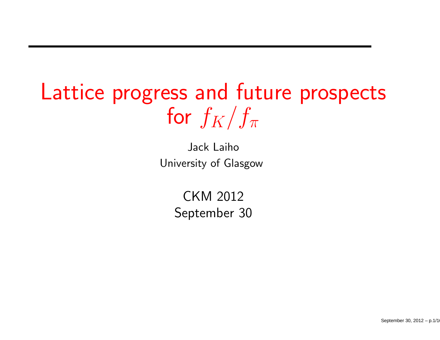# Lattice progress and future prospectsfor  $f_K/f_\pi$

Jack LaihoUniversity of Glasgow

> CKM <sup>2012</sup>September <sup>30</sup>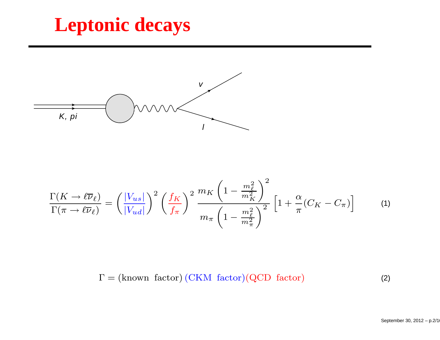#### **Leptonic decays**



$$
\frac{\Gamma(K \to \ell \overline{\nu}_{\ell})}{\Gamma(\pi \to \ell \overline{\nu}_{\ell})} = \left(\frac{|V_{us}|}{|V_{ud}|}\right)^2 \left(\frac{f_K}{f_\pi}\right)^2 \frac{m_K \left(1 - \frac{m_\ell^2}{m_K^2}\right)^2}{m_\pi \left(1 - \frac{m_\ell^2}{m_\pi^2}\right)^2} \left[1 + \frac{\alpha}{\pi} (C_K - C_\pi)\right] \tag{1}
$$

 $\Gamma = (\text{known factor}) (\text{CKM factor}) (\text{QCD factor})$  (2)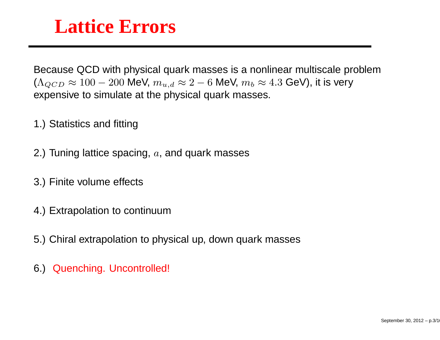#### **Lattice Errors**

Because QCD with physical quark masses is <sup>a</sup> nonlinear multiscale problem $(\Lambda_{QCD} \approx 100-200$  MeV,  $m_{u,d} \approx 2-6$  MeV,  $m_b \approx 4.3$  GeV), it is very expensive to simulate at the physical quark masses.

- 1.) Statistics and fitting
- 2.) Tuning lattice spacing,  $a$ , and quark masses
- 3.) Finite volume effects
- 4.) Extrapolation to continuum
- 5.) Chiral extrapolation to physical up, down quark masses
- 6.) Quenching. Uncontrolled!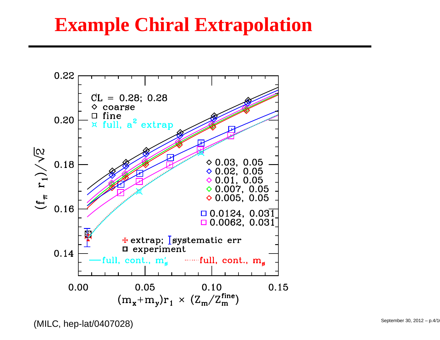## **Example Chiral Extrapolation**



(MILC, hep-lat/0407028)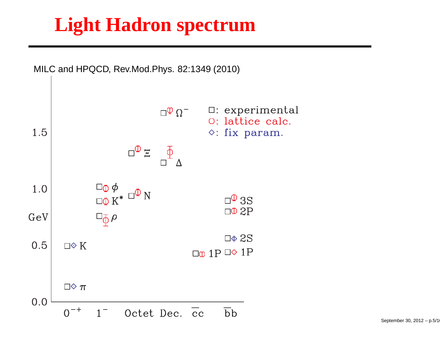# **Light Hadron spectrum**

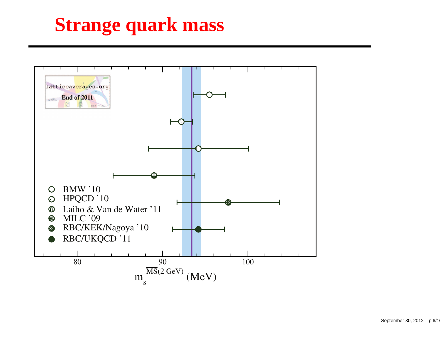# **Strange quark mass**

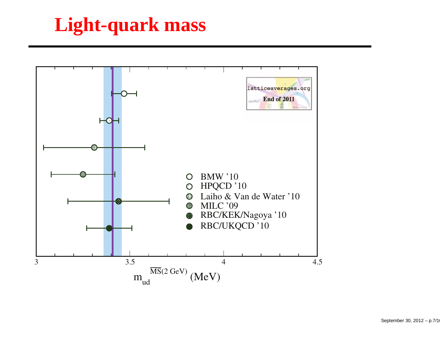# **Light-quark mass**

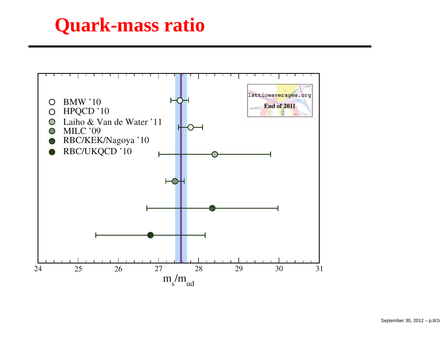#### **Quark-mass ratio**

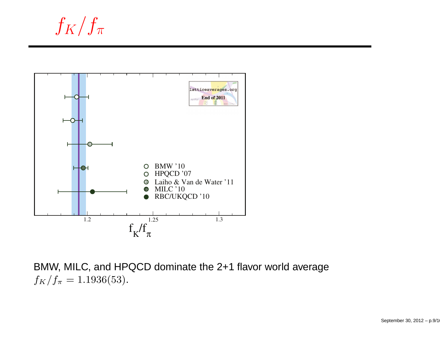$f_K/f_\pi$ 



BMW, MILC, and HPQCD dominate the 2+1 flavor world average $f_K/f_\pi = 1.1936(53).$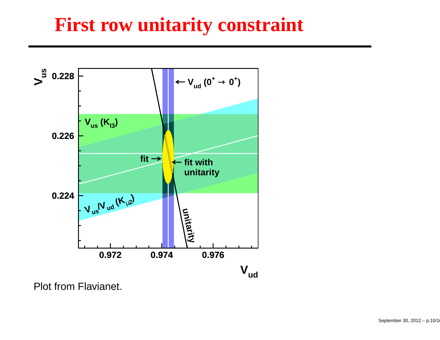#### **First row unitarity constraint**



Plot from Flavianet.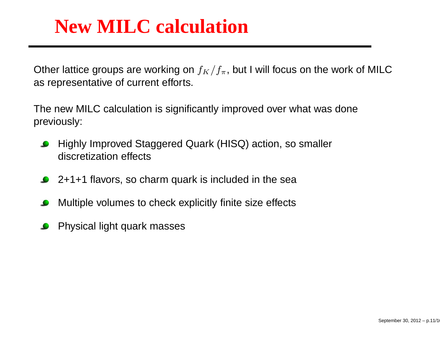#### **New MILC calculation**

Other lattice groups are working on  $f_K/f_\pi$ , but I will focus on the work of MILC as representative of current efforts.

The new MILC calculation is significantly improved over what was donepreviously:

- Highly Improved Staggered Quark (HISQ) action, so smallerdiscretization effects
- 2+1+1 flavors, so charm quark is included in the sea
- Multiple volumes to check explicitly finite size effects
- Physical light quark masses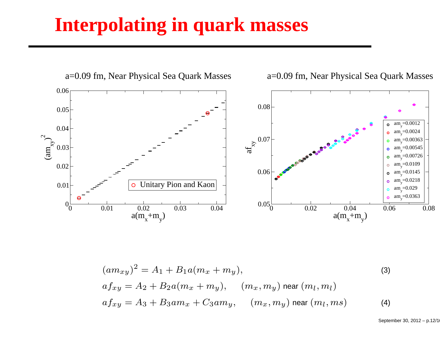#### **Interpolating in quark masses**



$$
(am_{xy})^2 = A_1 + B_1 a(m_x + m_y),
$$
  
\n
$$
af_{xy} = A_2 + B_2 a(m_x + m_y), \quad (m_x, m_y) \text{ near } (m_l, m_l)
$$
  
\n
$$
af_{xy} = A_3 + B_3 a m_x + C_3 a m_y, \quad (m_x, m_y) \text{ near } (m_l, ms)
$$
\n(4)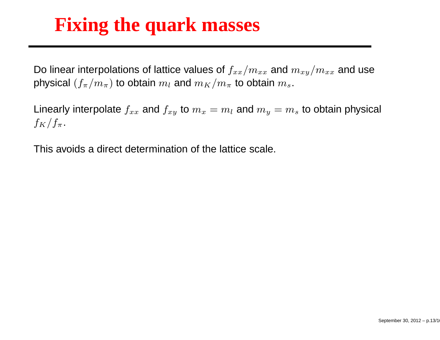## **Fixing the quark masses**

Do linear interpolations of lattice values of  $f_{xx}/m_{xx}$  and  $m_{xy}/m_{xx}$  and use physical  $(f_\pi/m_\pi)$  to obtain  $m_l$  and  $m_K/m_\pi$  $_{\pi}$  to obtain  $m_s.$ 

Linearly interpolate  $f_{xx}$  and  $f_{xy}$  to  $m_x=m_l$  and  $m_y=m_s$  to obtain physical  $f_K/f_\pi$ .

This avoids <sup>a</sup> direct determination of the lattice scale.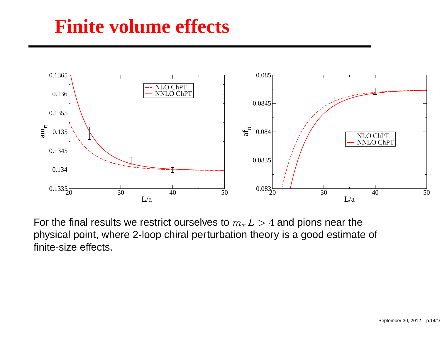#### **Finite volume effects**



For the final results we restrict ourselves to  $m_\pi L >4$  and pions near the physical point, where 2-loop chiral perturbation theory is <sup>a</sup> good estimate of finite-size effects.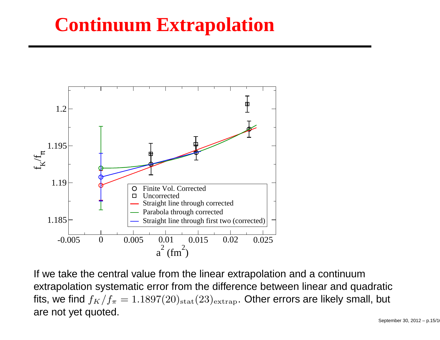## **Continuum Extrapolation**



If we take the central value from the linear extrapolation and <sup>a</sup> continuum extrapolation systematic error from the difference between linear and quadraticfits, we find  $f_K/f_\pi = 1.1897(20)_{\rm stat}(23)_{\rm extrap}.$  Other errors are likely small, but are not yet quoted.